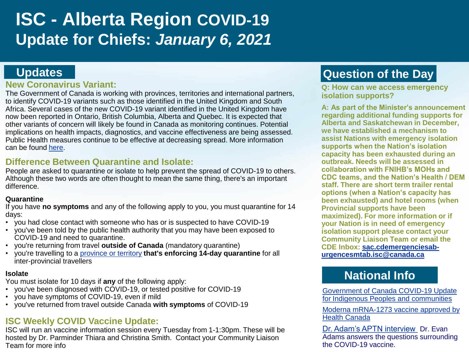# **ISC - Alberta Region COVID-19 Update for Chiefs:** *January 6, 2021*

### **Updates**

#### **New Coronavirus Variant:**

The Government of Canada is working with provinces, territories and international partners, to identify COVID-19 variants such as those identified in the United Kingdom and South Africa. Several cases of the new COVID-19 variant identified in the United Kingdom have now been reported in Ontario, British Columbia, Alberta and Quebec. It is expected that other variants of concern will likely be found in Canada as monitoring continues. Potential implications on health impacts, diagnostics, and vaccine effectiveness are being assessed. Public Health measures continue to be effective at decreasing spread. More information can be found [here](https://www.canada.ca/en/health-canada/news/2020/12/statement-on-the-variants-of-covid-19-virus-found-in-the-united-kingdom-and-south-africa.html).

### **Difference Between Quarantine and Isolate:**

People are asked to quarantine or isolate to help prevent the spread of COVID-19 to others. Although these two words are often thought to mean the same thing, there's an important difference.

#### **Quarantine**

If you have **no symptoms** and any of the following apply to you, you must quarantine for 14 days:

- you had close contact with someone who has or is suspected to have COVID-19
- you've been told by the public health authority that you may have been exposed to COVID-19 and need to quarantine.
- you're returning from travel **outside of Canada** (mandatory quarantine)
- you're travelling to a [province or territory](https://www.canada.ca/en/public-health/services/diseases/2019-novel-coronavirus-infection/symptoms/provincial-territorial-resources-covid-19.html) **that's enforcing 14-day quarantine** for all inter-provincial travellers

#### **Isolate**

You must isolate for 10 days if **any** of the following apply:

- you've been diagnosed with COVID-19, or tested positive for COVID-19
- you have symptoms of COVID-19, even if mild
- you've returned from travel outside Canada **with symptoms** of COVID-19

### **ISC Weekly COVID Vaccine Update:**

ISC will run an vaccine information session every Tuesday from 1-1:30pm. These will be hosted by Dr. Parminder Thiara and Christina Smith. Contact your Community Liaison Team for more info

# **Question of the Day**

**Q: How can we access emergency isolation supports?** 

**A: As part of the Minister's announcement regarding additional funding supports for Alberta and Saskatchewan in December, we have established a mechanism to assist Nations with emergency isolation supports when the Nation's isolation capacity has been exhausted during an outbreak. Needs will be assessed in collaboration with FNIHB's MOHs and CDC teams, and the Nation's Health / DEM staff. There are short term trailer rental options (when a Nation's capacity has been exhausted) and hotel rooms (when Provincial supports have been maximized). For more information or if your Nation is in need of emergency isolation support please contact your Community Liaison Team or email the [CDE Inbox: sac.cdemergenciesab](mailto:sac.cdemergenciesab-urgencesmtab.isc@canada.ca)urgencesmtab.isc@canada.ca**

# **National Info**

Government of Canada COVID-19 Update [for Indigenous Peoples and communities](https://www.canada.ca/en/indigenous-services-canada/news/2020/12/government-of-canada-covid-19-update-for-indigenous-peoples-and-communities3.html)

[Moderna mRNA-1273 vaccine approved by](https://www.canada.ca/en/health-canada/services/drugs-health-products/covid19-industry/drugs-vaccines-treatments/vaccines/moderna/authorization.html)  Health Canada

[Dr. Adam's APTN interview](https://www.youtube.com/watch?v=y9CyluLgrE8&feature=emb_logo) Dr. Evan Adams answers the questions surrounding the COVID-19 vaccine.